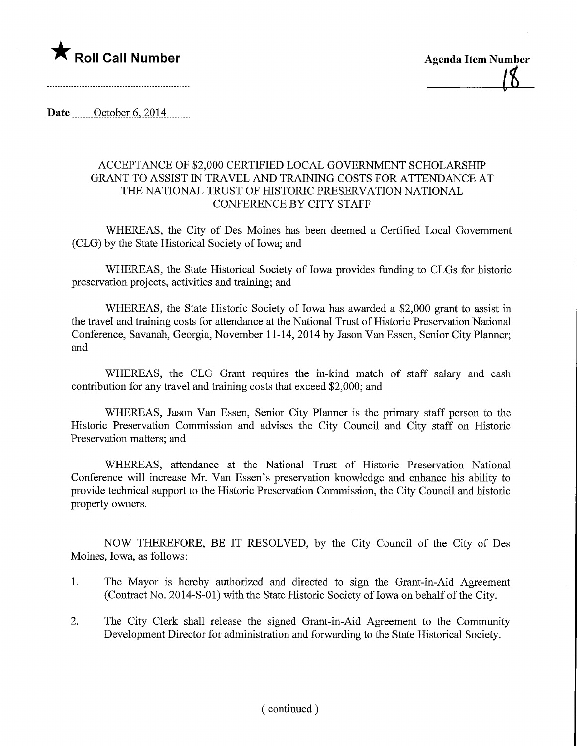



Date <u>.......October 6</u>, 2014

## ACCEPTANCE OF \$2,000 CERTIFIED LOCAL GOVERNMENT SCHOLARSHIP GRANT TO ASSIST IN TRAVEL AND TRAINING COSTS FOR ATTENDANCE AT THE NATIONAL TRUST OF HISTORIC PRESERVATION NATIONAL CONFERENCE BY CITY STAFF

WHEREAS, the City of Des Moines has been deemed a Certified Local Government (CLG) by the State Historical Society of Iowa; and

WHEREAS, the State Historical Society of Iowa provides funding to CLGs for historic preservation projects, activities and training; and

WHEREAS, the State Historic Society of Iowa has awarded a \$2,000 grant to assist in the travel and training costs for attendance at the National Trust of Historic Preservation National Conference, Savanah, Georgia, November 11-14, 2014 by Jason Van Essen, Senior City Planner; and

WHEREAS, the CLG Grant requires the in-kind match of staff salary and cash contribution for any travel and training costs that exceed \$2,000; and

WHEREAS, Jason Van Essen, Senior City Planner is the primary staff person to the Historic Preservation Commission and advises the City Council and City staff on Historic Preservation matters; and

WHEREAS, attendance at the National Trust of Historic Preservation National Conference will increase Mr. Van Essen's preservation knowledge and enhance his ability to provide technical support to the Historic Preservation Commission, the City Council and historic property owners.

NOW THEREFORE, BE IT RESOLVED, by the City Council of the City of Des Moines, Iowa, as follows:

- 1. The Mayor is hereby authorized and directed to sign the Grant-in-Aid Agreement (Contract No. 2014-S-01) with the State Historic Society of Iowa on behalf of the City.
- 2. The City Clerk shall release the signed Grant-in-Aid Agreement to the Community Development Director for administration and forwarding to the State Historical Society.